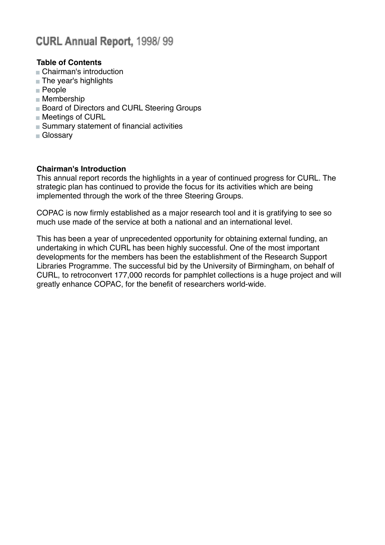# CURL Annual Report, 1998/99

#### **Table of Contents**

- ■ [Chairman's introduction](http://www.curl.ac.uk/about/ar9899.htm#chairman)
- [The year's highlights](http://www.curl.ac.uk/about/ar9899.htm#highlights)
- [People](http://www.curl.ac.uk/about/ar9899.htm#people)
- [Membership](http://www.curl.ac.uk/about/ar9899.htm#membership)
- **[Board of Directors and CURL Steering Groups](http://www.curl.ac.uk/about/ar9899.htm#board)**
- [Meetings of CURL](http://www.curl.ac.uk/about/ar9899.htm#meetings)
- [Summary statement of financial activities](http://www.curl.ac.uk/about/ar9899.htm#summary)
- [Glossary](http://www.curl.ac.uk/about/ar9899.htm#glossary)

#### **Chairman's Introduction**

This annual report records the highlights in a year of continued progress for CURL. The strategic plan has continued to provide the focus for its activities which are being implemented through the work of the three Steering Groups.

COPAC is now firmly established as a major research tool and it is gratifying to see so much use made of the service at both a national and an international level.

This has been a year of unprecedented opportunity for obtaining external funding, an undertaking in which CURL has been highly successful. One of the most important developments for the members has been the establishment of the Research Support Libraries Programme. The successful bid by the University of Birmingham, on behalf of CURL, to retroconvert 177,000 records for pamphlet collections is a huge project and will greatly enhance COPAC, for the benefit of researchers world-wide.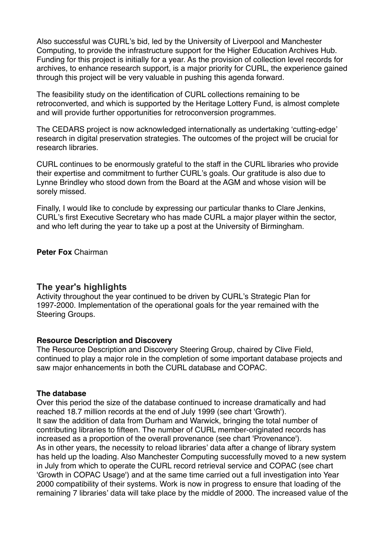Also successful was CURL's bid, led by the University of Liverpool and Manchester Computing, to provide the infrastructure support for the Higher Education Archives Hub. Funding for this project is initially for a year. As the provision of collection level records for archives, to enhance research support, is a major priority for CURL, the experience gained through this project will be very valuable in pushing this agenda forward.

The feasibility study on the identification of CURL collections remaining to be retroconverted, and which is supported by the Heritage Lottery Fund, is almost complete and will provide further opportunities for retroconversion programmes.

The CEDARS project is now acknowledged internationally as undertaking 'cutting-edge' research in digital preservation strategies. The outcomes of the project will be crucial for research libraries.

CURL continues to be enormously grateful to the staff in the CURL libraries who provide their expertise and commitment to further CURL's goals. Our gratitude is also due to Lynne Brindley who stood down from the Board at the AGM and whose vision will be sorely missed.

Finally, I would like to conclude by expressing our particular thanks to Clare Jenkins, CURL's first Executive Secretary who has made CURL a major player within the sector, and who left during the year to take up a post at the University of Birmingham.

**Peter Fox** Chairman

#### **The year's highlights**

Activity throughout the year continued to be driven by CURL's Strategic Plan for 1997-2000. Implementation of the operational goals for the year remained with the Steering Groups.

#### **Resource Description and Discovery**

The Resource Description and Discovery Steering Group, chaired by Clive Field, continued to play a major role in the completion of some important database projects and saw major enhancements in both the CURL database and COPAC.

#### **The database**

Over this period the size of the database continued to increase dramatically and had reached 18.7 million records at the end of July 1999 (see chart '[Growth'](http://www.curl.ac.uk/about/ar9899.htm#growth)). It saw the addition of data from Durham and Warwick, bringing the total number of contributing libraries to fifteen. The number of CURL member-originated records has increased as a proportion of the overall provenance (see chart '[Provenance](http://www.curl.ac.uk/about/ar9899.htm#provenance)'). As in other years, the necessity to reload libraries' data after a change of library system has held up the loading. Also Manchester Computing successfully moved to a new system in July from which to operate the CURL record retrieval service and COPAC (see chart '[Growth in COPAC Usage](http://www.curl.ac.uk/about/ar9899.htm#copac)') and at the same time carried out a full investigation into Year 2000 compatibility of their systems. Work is now in progress to ensure that loading of the remaining 7 libraries' data will take place by the middle of 2000. The increased value of the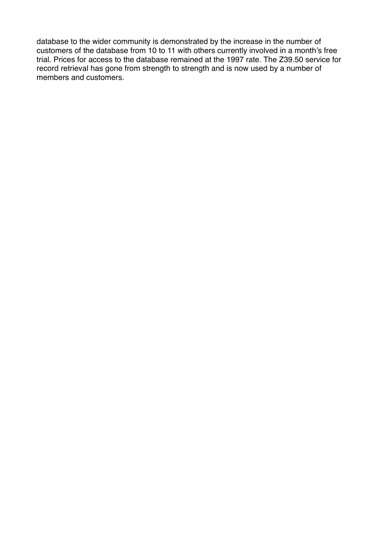database to the wider community is demonstrated by the increase in the number of customers of the database from 10 to 11 with others currently involved in a month's free trial. Prices for access to the database remained at the 1997 rate. The Z39.50 service for record retrieval has gone from strength to strength and is now used by a number of members and customers.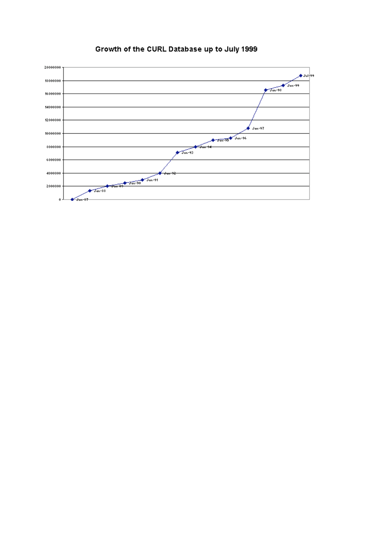

### Growth of the CURL Database up to July 1999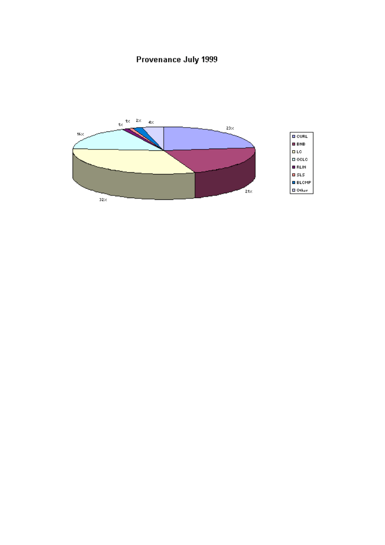## Provenance July 1999

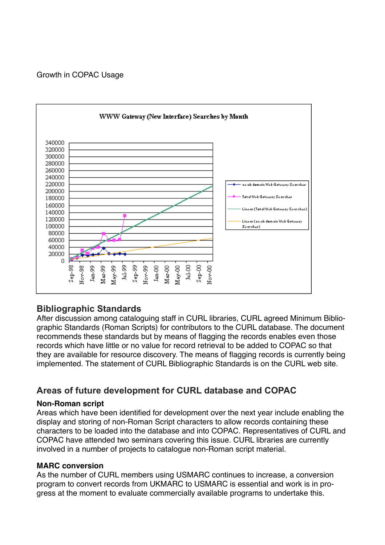Growth in COPAC Usage



### **Bibliographic Standards**

After discussion among cataloguing staff in CURL libraries, CURL agreed Minimum Bibliographic Standards (Roman Scripts) for contributors to the CURL database. The document recommends these standards but by means of flagging the records enables even those records which have little or no value for record retrieval to be added to COPAC so that they are available for resource discovery. The means of flagging records is currently being implemented. The statement of CURL Bibliographic Standards is on the CURL web site.

## **Areas of future development for CURL database and COPAC**

#### **Non-Roman script**

Areas which have been identified for development over the next year include enabling the display and storing of non-Roman Script characters to allow records containing these characters to be loaded into the database and into COPAC. Representatives of CURL and COPAC have attended two seminars covering this issue. CURL libraries are currently involved in a number of projects to catalogue non-Roman script material.

#### **MARC conversion**

As the number of CURL members using USMARC continues to increase, a conversion program to convert records from UKMARC to USMARC is essential and work is in progress at the moment to evaluate commercially available programs to undertake this.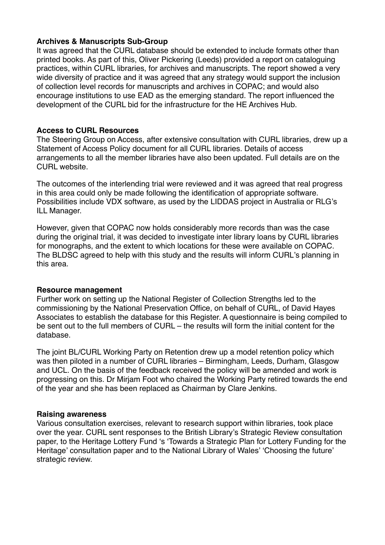#### **Archives & Manuscripts Sub-Group**

It was agreed that the CURL database should be extended to include formats other than printed books. As part of this, Oliver Pickering (Leeds) provided a report on cataloguing practices, within CURL libraries, for archives and manuscripts. The report showed a very wide diversity of practice and it was agreed that any strategy would support the inclusion of collection level records for manuscripts and archives in COPAC; and would also encourage institutions to use EAD as the emerging standard. The report influenced the development of the CURL bid for the infrastructure for the HE Archives Hub.

#### **Access to CURL Resources**

The Steering Group on Access, after extensive consultation with CURL libraries, drew up a Statement of Access Policy document for all CURL libraries. Details of access arrangements to all the member libraries have also been updated. Full details are on the CURL website.

The outcomes of the interlending trial were reviewed and it was agreed that real progress in this area could only be made following the identification of appropriate software. Possibilities include VDX software, as used by the LIDDAS project in Australia or RLG's ILL Manager.

However, given that COPAC now holds considerably more records than was the case during the original trial, it was decided to investigate inter library loans by CURL libraries for monographs, and the extent to which locations for these were available on COPAC. The BLDSC agreed to help with this study and the results will inform CURL's planning in this area.

#### **Resource management**

Further work on setting up the National Register of Collection Strengths led to the commissioning by the National Preservation Office, on behalf of CURL, of David Hayes Associates to establish the database for this Register. A questionnaire is being compiled to be sent out to the full members of CURL – the results will form the initial content for the database.

The joint BL/CURL Working Party on Retention drew up a model retention policy which was then piloted in a number of CURL libraries – Birmingham, Leeds, Durham, Glasgow and UCL. On the basis of the feedback received the policy will be amended and work is progressing on this. Dr Mirjam Foot who chaired the Working Party retired towards the end of the year and she has been replaced as Chairman by Clare Jenkins.

#### **Raising awareness**

Various consultation exercises, relevant to research support within libraries, took place over the year. CURL sent responses to the British Library's Strategic Review consultation paper, to the Heritage Lottery Fund 's 'Towards a Strategic Plan for Lottery Funding for the Heritage' consultation paper and to the National Library of Wales' 'Choosing the future' strategic review.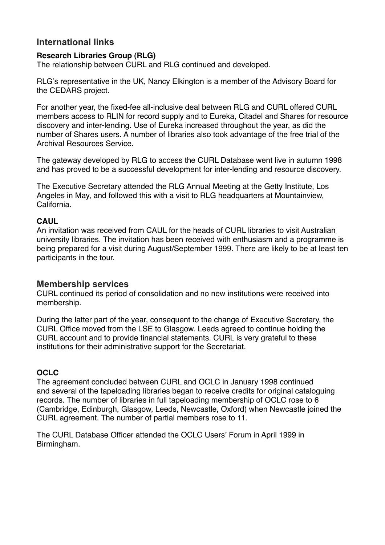## **International links**

### **Research Libraries Group (RLG)**

The relationship between CURL and RLG continued and developed.

RLG's representative in the UK, Nancy Elkington is a member of the Advisory Board for the CEDARS project.

For another year, the fixed-fee all-inclusive deal between RLG and CURL offered CURL members access to RLIN for record supply and to Eureka, Citadel and Shares for resource discovery and inter-lending. Use of Eureka increased throughout the year, as did the number of Shares users. A number of libraries also took advantage of the free trial of the Archival Resources Service.

The gateway developed by RLG to access the CURL Database went live in autumn 1998 and has proved to be a successful development for inter-lending and resource discovery.

The Executive Secretary attended the RLG Annual Meeting at the Getty Institute, Los Angeles in May, and followed this with a visit to RLG headquarters at Mountainview, California.

#### **CAUL**

An invitation was received from CAUL for the heads of CURL libraries to visit Australian university libraries. The invitation has been received with enthusiasm and a programme is being prepared for a visit during August/September 1999. There are likely to be at least ten participants in the tour.

#### **Membership services**

CURL continued its period of consolidation and no new institutions were received into membership.

During the latter part of the year, consequent to the change of Executive Secretary, the CURL Office moved from the LSE to Glasgow. Leeds agreed to continue holding the CURL account and to provide financial statements. CURL is very grateful to these institutions for their administrative support for the Secretariat.

#### **OCLC**

The agreement concluded between CURL and OCLC in January 1998 continued and several of the tapeloading libraries began to receive credits for original cataloguing records. The number of libraries in full tapeloading membership of OCLC rose to 6 (Cambridge, Edinburgh, Glasgow, Leeds, Newcastle, Oxford) when Newcastle joined the CURL agreement. The number of partial members rose to 11.

The CURL Database Officer attended the OCLC Users' Forum in April 1999 in Birmingham.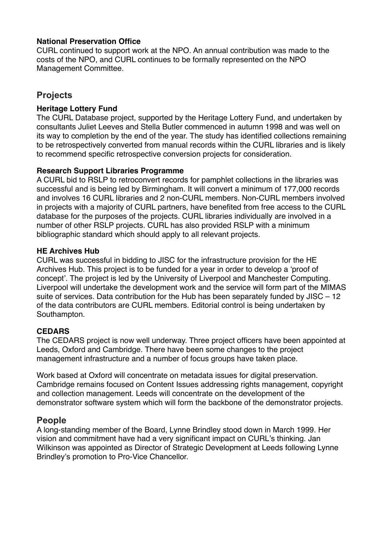#### **National Preservation Office**

CURL continued to support work at the NPO. An annual contribution was made to the costs of the NPO, and CURL continues to be formally represented on the NPO Management Committee.

### **Projects**

#### **Heritage Lottery Fund**

The CURL Database project, supported by the Heritage Lottery Fund, and undertaken by consultants Juliet Leeves and Stella Butler commenced in autumn 1998 and was well on its way to completion by the end of the year. The study has identified collections remaining to be retrospectively converted from manual records within the CURL libraries and is likely to recommend specific retrospective conversion projects for consideration.

#### **Research Support Libraries Programme**

A CURL bid to RSLP to retroconvert records for pamphlet collections in the libraries was successful and is being led by Birmingham. It will convert a minimum of 177,000 records and involves 16 CURL libraries and 2 non-CURL members. Non-CURL members involved in projects with a majority of CURL partners, have benefited from free access to the CURL database for the purposes of the projects. CURL libraries individually are involved in a number of other RSLP projects. CURL has also provided RSLP with a minimum bibliographic standard which should apply to all relevant projects.

#### **HE Archives Hub**

CURL was successful in bidding to JISC for the infrastructure provision for the HE Archives Hub. This project is to be funded for a year in order to develop a 'proof of concept'. The project is led by the University of Liverpool and Manchester Computing. Liverpool will undertake the development work and the service will form part of the MIMAS suite of services. Data contribution for the Hub has been separately funded by JISC – 12 of the data contributors are CURL members. Editorial control is being undertaken by Southampton.

#### **CEDARS**

The CEDARS project is now well underway. Three project officers have been appointed at Leeds, Oxford and Cambridge. There have been some changes to the project management infrastructure and a number of focus groups have taken place.

Work based at Oxford will concentrate on metadata issues for digital preservation. Cambridge remains focused on Content Issues addressing rights management, copyright and collection management. Leeds will concentrate on the development of the demonstrator software system which will form the backbone of the demonstrator projects.

#### **People**

A long-standing member of the Board, Lynne Brindley stood down in March 1999. Her vision and commitment have had a very significant impact on CURL's thinking. Jan Wilkinson was appointed as Director of Strategic Development at Leeds following Lynne Brindley's promotion to Pro-Vice Chancellor.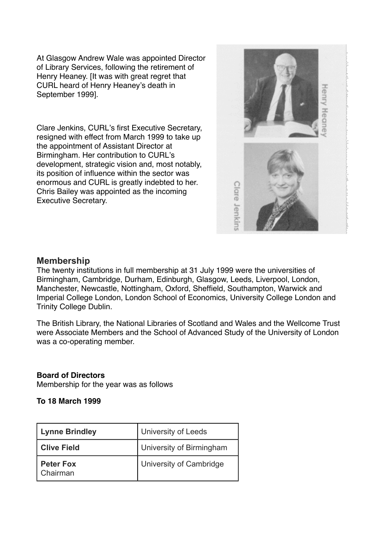At Glasgow Andrew Wale was appointed Director of Library Services, following the retirement of Henry Heaney. [It was with great regret that CURL heard of Henry Heaney's death in September 1999].

Clare Jenkins, CURL's first Executive Secretary, resigned with effect from March 1999 to take up the appointment of Assistant Director at Birmingham. Her contribution to CURL's development, strategic vision and, most notably, its position of influence within the sector was enormous and CURL is greatly indebted to her. Chris Bailey was appointed as the incoming Executive Secretary.



#### **Membership**

The twenty institutions in full membership at 31 July 1999 were the universities of Birmingham, Cambridge, Durham, Edinburgh, Glasgow, Leeds, Liverpool, London, Manchester, Newcastle, Nottingham, Oxford, Sheffield, Southampton, Warwick and Imperial College London, London School of Economics, University College London and Trinity College Dublin.

The British Library, the National Libraries of Scotland and Wales and the Wellcome Trust were Associate Members and the School of Advanced Study of the University of London was a co-operating member.

#### **Board of Directors**

Membership for the year was as follows

#### **To 18 March 1999**

| Lynne Brindley               | University of Leeds      |
|------------------------------|--------------------------|
| <b>Clive Field</b>           | University of Birmingham |
| <b>Peter Fox</b><br>Chairman | University of Cambridge  |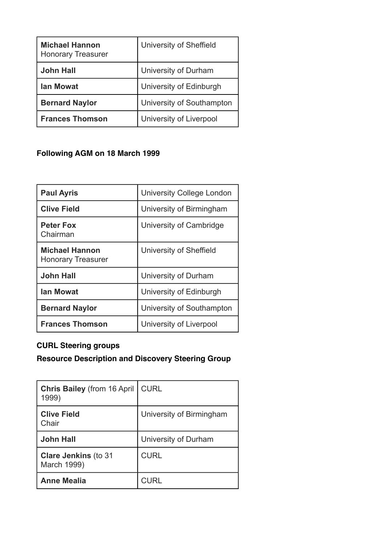| <b>Michael Hannon</b><br><b>Honorary Treasurer</b> | University of Sheffield   |
|----------------------------------------------------|---------------------------|
| <b>John Hall</b>                                   | University of Durham      |
| <b>lan Mowat</b>                                   | University of Edinburgh   |
| <b>Bernard Naylor</b>                              | University of Southampton |
| <b>Frances Thomson</b>                             | University of Liverpool   |

## **Following AGM on 18 March 1999**

| <b>Paul Ayris</b>                                  | <b>University College London</b> |
|----------------------------------------------------|----------------------------------|
| <b>Clive Field</b>                                 | University of Birmingham         |
| <b>Peter Fox</b><br>Chairman                       | University of Cambridge          |
| <b>Michael Hannon</b><br><b>Honorary Treasurer</b> | University of Sheffield          |
| <b>John Hall</b>                                   | University of Durham             |
| <b>Ian Mowat</b>                                   | University of Edinburgh          |
| <b>Bernard Naylor</b>                              | University of Southampton        |
| <b>Frances Thomson</b>                             | University of Liverpool          |

## **CURL Steering groups**

## **Resource Description and Discovery Steering Group**

| <b>Chris Bailey (from 16 April</b><br>1999) | <b>CURL</b>              |
|---------------------------------------------|--------------------------|
| <b>Clive Field</b><br>Chair                 | University of Birmingham |
| <b>John Hall</b>                            | University of Durham     |
| <b>Clare Jenkins (to 31</b><br>March 1999)  | <b>CURL</b>              |
| <b>Anne Mealia</b>                          | <b>CURL</b>              |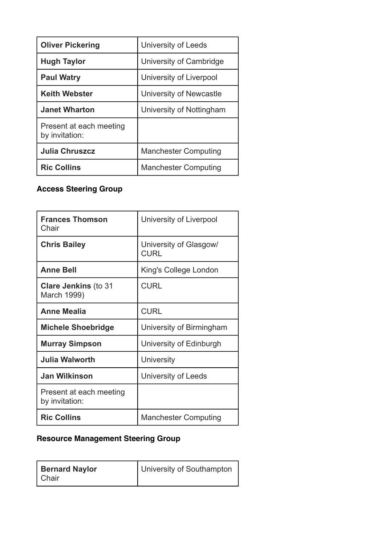| <b>Oliver Pickering</b>                   | <b>University of Leeds</b>  |
|-------------------------------------------|-----------------------------|
| <b>Hugh Taylor</b>                        | University of Cambridge     |
| <b>Paul Watry</b>                         | University of Liverpool     |
| <b>Keith Webster</b>                      | University of Newcastle     |
| <b>Janet Wharton</b>                      | University of Nottingham    |
| Present at each meeting<br>by invitation: |                             |
| <b>Julia Chruszcz</b>                     | <b>Manchester Computing</b> |
| <b>Ric Collins</b>                        | <b>Manchester Computing</b> |

## **Access Steering Group**

| <b>Frances Thomson</b><br>Chair            | University of Liverpool               |
|--------------------------------------------|---------------------------------------|
| <b>Chris Bailey</b>                        | University of Glasgow/<br><b>CURL</b> |
| <b>Anne Bell</b>                           | King's College London                 |
| <b>Clare Jenkins (to 31</b><br>March 1999) | <b>CURL</b>                           |
| Anne Mealia                                | <b>CURL</b>                           |
| <b>Michele Shoebridge</b>                  | University of Birmingham              |
| <b>Murray Simpson</b>                      | University of Edinburgh               |
| <b>Julia Walworth</b>                      | University                            |
| <b>Jan Wilkinson</b>                       | University of Leeds                   |
| Present at each meeting<br>by invitation:  |                                       |
| <b>Ric Collins</b>                         | <b>Manchester Computing</b>           |

## **Resource Management Steering Group**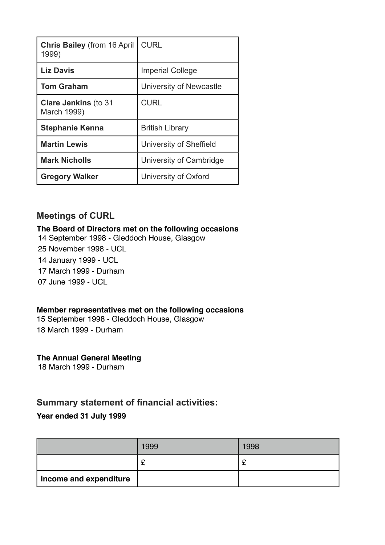| <b>Chris Bailey (from 16 April</b><br>1999) | <b>CURL</b>             |
|---------------------------------------------|-------------------------|
| <b>Liz Davis</b>                            | <b>Imperial College</b> |
| <b>Tom Graham</b>                           | University of Newcastle |
| <b>Clare Jenkins (to 31</b><br>March 1999)  | <b>CURL</b>             |
| <b>Stephanie Kenna</b>                      | <b>British Library</b>  |
| <b>Martin Lewis</b>                         | University of Sheffield |
| <b>Mark Nicholls</b>                        | University of Cambridge |
| <b>Gregory Walker</b>                       | University of Oxford    |

### **Meetings of CURL**

#### **The Board of Directors met on the following occasions**

14 September 1998 - Gleddoch House, Glasgow

- 25 November 1998 UCL
- 14 January 1999 UCL
- 17 March 1999 Durham
- 07 June 1999 UCL

#### **Member representatives met on the following occasions**

15 September 1998 - Gleddoch House, Glasgow 18 March 1999 - Durham

#### **The Annual General Meeting**

18 March 1999 - Durham

### **Summary statement of financial activities:**

#### **Year ended 31 July 1999**

|                        | 1999   | 1998 |
|------------------------|--------|------|
|                        | ◠<br>~ |      |
| Income and expenditure |        |      |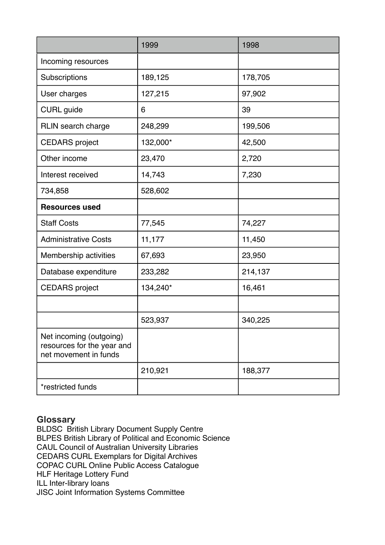|                                                                                | 1999     | 1998    |
|--------------------------------------------------------------------------------|----------|---------|
| Incoming resources                                                             |          |         |
| Subscriptions                                                                  | 189,125  | 178,705 |
| User charges                                                                   | 127,215  | 97,902  |
| <b>CURL</b> guide                                                              | 6        | 39      |
| <b>RLIN</b> search charge                                                      | 248,299  | 199,506 |
| <b>CEDARS</b> project                                                          | 132,000* | 42,500  |
| Other income                                                                   | 23,470   | 2,720   |
| Interest received                                                              | 14,743   | 7,230   |
| 734,858                                                                        | 528,602  |         |
| <b>Resources used</b>                                                          |          |         |
| <b>Staff Costs</b>                                                             | 77,545   | 74,227  |
| <b>Administrative Costs</b>                                                    | 11,177   | 11,450  |
| Membership activities                                                          | 67,693   | 23,950  |
| Database expenditure                                                           | 233,282  | 214,137 |
| <b>CEDARS</b> project                                                          | 134,240* | 16,461  |
|                                                                                |          |         |
|                                                                                | 523,937  | 340,225 |
| Net incoming (outgoing)<br>resources for the year and<br>net movement in funds |          |         |
|                                                                                | 210,921  | 188,377 |
| *restricted funds                                                              |          |         |

### **Glossary**

BLDSC British Library Document Supply Centre BLPES British Library of Political and Economic Science CAUL Council of Australian University Libraries CEDARS CURL Exemplars for Digital Archives COPAC CURL Online Public Access Catalogue HLF Heritage Lottery Fund ILL Inter-library loans JISC Joint Information Systems Committee